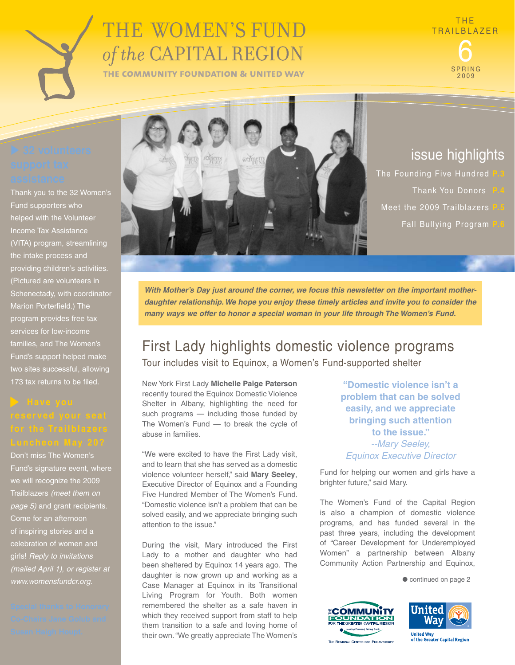# THE WOMEN'S FUND of the CAPITAL REGION

THE COMMUNITY FOUNDATION & UNITED WAY

SPRING 2009

Thank you to the 32 Women's Fund supporters who helped with the Volunteer Income Tax Assistance (VITA) program, streamlining the intake process and providing children's activities. (Pictured are volunteers in Schenectady, with coordinator Marion Porterfield.) The program provides free tax services for low-income families, and The Women's Fund's support helped make two sites successful, allowing 173 tax returns to be filed.

Don't miss The Women's Fund's signature event, where we will recognize the 2009 Trailblazers *(meet them on page 5)* and grant recipients. Come for an afternoon of inspiring stories and a celebration of women and girls! *Reply to invitations (mailed April 1), or register at www.womensfundcr.org.*



## issue highlights

**The Founding Five Hundred Thank You Donors** Meet the 2009 Trailblazers **Fall Bullying Program** 

*With Mother's Day just around the corner, we focus this newsletter on the important motherdaughter relationship.We hope you enjoy these timely articles and invite you to consider the many ways we offer to honor a special woman in your life through The Women's Fund.* 

## First Lady highlights domestic violence programs Tour includes visit to Equinox, a Women's Fund-supported shelter

New York First Lady **Michelle Paige Paterson**  recently toured the Equinox Domestic Violence Shelter in Albany, highlighting the need for such programs — including those funded by The Women's Fund — to break the cycle of abuse in families.

"We were excited to have the First Lady visit, and to learn that she has served as a domestic violence volunteer herself," said **Mary Seeley**, Executive Director of Equinox and a Founding Five Hundred Member of The Women's Fund. "Domestic violence isn't a problem that can be solved easily, and we appreciate bringing such attention to the issue."

During the visit, Mary introduced the First Lady to a mother and daughter who had been sheltered by Equinox 14 years ago. The daughter is now grown up and working as a Case Manager at Equinox in its Transitional Living Program for Youth. Both women remembered the shelter as a safe haven in which they received support from staff to help them transition to a safe and loving home of their own. "We greatly appreciate The Women's

**"Domestic violence isn't a problem that can be solved easily, and we appreciate bringing such attention to the issue."** *--Mary Seeley, Equinox Executive Director* 

Fund for helping our women and girls have a brighter future," said Mary.

The Women's Fund of the Capital Region is also a champion of domestic violence programs, and has funded several in the past three years, including the development of "Career Development for Underemployed Women" a partnership between Albany Community Action Partnership and Equinox,

 $\bullet$  continued on page 2





THE REGIONAL CENTER FOR PHILANTHROPY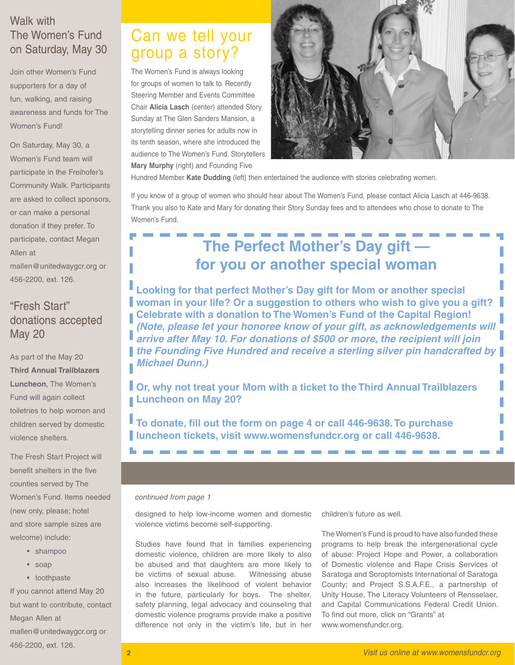### Walk with The Women's Fund on Saturday, May 30

Join other Women's Fund supporters for a day of fun, walking, and raising awareness and funds for The Women's Fund!

On Saturday, May 30, a Women's Fund team will participate in the Freihofer's Community Walk. Participants are asked to collect sponsors, or can make a personal donation if they prefer. To participate, contact Megan Allen at mallen@unitedwaygcr.org or 456-2200, ext. 126.

### "Fresh Start" donations accepted May 20

As part of the May 20 **Third Annual Trailblazers Luncheon**, The Women's Fund will again collect toiletries to help women and children served by domestic violence shelters.

The Fresh Start Project will benefit shelters in the five counties served by The Women's Fund. Items needed (new only, please; hotel and store sample sizes are welcome) include:

- shampoo
- soap
- • toothpaste

If you cannot attend May 20 but want to contribute, contact Megan Allen at mallen@unitedwaygcr.org or 456-2200, ext. 126.

## Can we tell your group a story?

The Women's Fund is always looking for groups of women to talk to. Recently Steering Member and Events Committee Chair **Alicia Lasch** (center) attended Story Sunday at The Glen Sanders Mansion, a storytelling dinner series for adults now in its tenth season, where she introduced the audience to The Women's Fund. Storytellers **Mary Murphy** (right) and Founding Five



Hundred Member **Kate Dudding** (left) then entertained the audience with stories celebrating women.

If you know of a group of women who should hear about The Women's Fund, please contact Alicia Lasch at 446-9638. Thank you also to Kate and Mary for donating their Story Sunday fees and to attendees who chose to donate to The Women's Fund.

# **The Perfect Mother's Day gift for you or another special woman**

**Looking for that perfect Mother's Day gift for Mom or another special woman in your life? Or a suggestion to others who wish to give you a gift? Celebrate with a donation to The Women's Fund of the Capital Region!**  *(Note, please let your honoree know of your gift, as acknowledgements will arrive after May 10. For donations of \$500 or more, the recipient will join the Founding Five Hundred and receive a sterling silver pin handcrafted by Michael Dunn.)*

**Or, why not treat your Mom with a ticket to the Third Annual Trailblazers Luncheon on May 20?** 

**To donate, fill out the form on page 4 or call 446-9638. To purchase luncheon tickets, visit www.womensfundcr.org or call 446-9638.** 

### *continued from page 1*

designed to help low-income women and domestic violence victims become self-supporting.

Studies have found that in families experiencing domestic violence, children are more likely to also be abused and that daughters are more likely to be victims of sexual abuse. Witnessing abuse also increases the likelihood of violent behavior in the future, particularly for boys. The shelter, safety planning, legal advocacy and counseling that domestic violence programs provide make a positive difference not only in the victim's life, but in her children's future as well.

The Women's Fund is proud to have also funded these programs to help break the intergenerational cycle of abuse: Project Hope and Power, a collaboration of Domestic violence and Rape Crisis Services of Saratoga and Soroptomists International of Saratoga County; and Project S.S.A.F.E., a partnership of Unity House, The Literacy Volunteers of Rensselaer, and Capital Communications Federal Credit Union. To find out more, click on "Grants" at www.womensfundcr.org.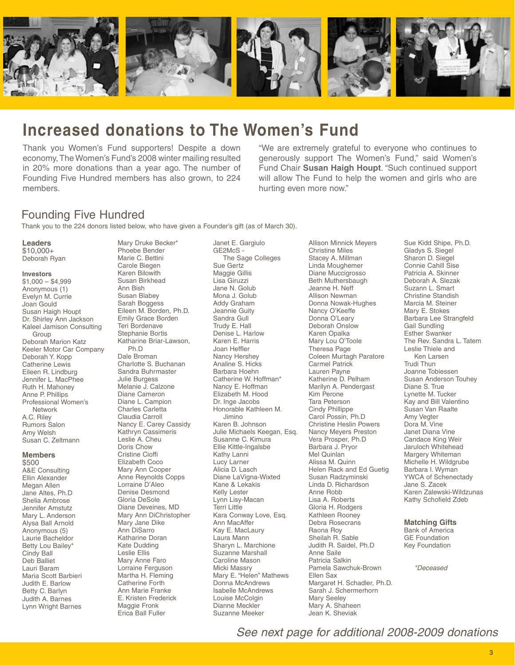

## **Increased donations to The Women's Fund**

Thank you Women's Fund supporters! Despite a down economy, The Women's Fund's 2008 winter mailing resulted in 20% more donations than a year ago. The number of Founding Five Hundred members has also grown, to 224 members.

"We are extremely grateful to everyone who continues to generously support The Women's Fund," said Women's Fund Chair **Susan Haigh Houpt**. "Such continued support will allow The Fund to help the women and girls who are hurting even more now."

### Founding Five Hundred

Thank you to the 224 donors listed below, who have given a Founder's gift (as of March 30).

Mary Druke Becker\* Phoebe Bender Marie C. Bettini Carole Biegen

#### **Leaders** \$10,000+

Deborah Ryan

### **Investors**

 $$1,000 - $4,999$ Anonymous (1) Evelyn M. Currie Joan Gould Susan Haigh Houpt Dr. Shirley Ann Jackson Kaleel Jamison Consulting Group Deborah Marion Katz Keeler Motor Car Company Deborah Y. Kopp Catherine Lewis Eileen R. Lindburg Jennifer L. MacPhee Ruth H. Mahoney Anne P. Phillips Professional Women's **Network** A.C. Riley Rumors Salon Amy Welsh Susan C. Zeltmann

### **Members**

\$500 A&E Consulting Ellin Alexander Megan Allen Jane Altes, Ph.D Shelia Ambrose Jennifer Amstutz Mary L. Anderson Alysa Ball Arnold Anonymous (5) Laurie Bacheldor Betty Lou Bailey\* Cindy Ball Deb Balliet Lauri Baram Maria Scott Barbieri Judith E. Barlow Betty C. Barlyn Judith A. Barnes Lynn Wright Barnes

Karen Bilowith Susan Birkhead Ann Bish Susan Blabey Sarah Boggess Eileen M. Borden, Ph.D. Emily Grace Borden Teri Bordenave Stephanie Bortis Katharine Briar-Lawson, Ph.D Dale Broman Charlotte S. Buchanan Sandra Buhrmaster Julie Burgess Melanie J. Calzone Diane Cameron Diane L. Campion Charles Carletta Claudia Carroll Nancy E. Carey Cassidy Kathryn Cassimeris Leslie A. Cheu Doris Chow Cristine Cioffi Elizabeth Coco Mary Ann Cooper Anne Reynolds Copps Lorraine D'Aleo Denise Desmond Gloria DeSole Diane Deveines, MD Mary Ann DiChristopher Mary Jane Dike Ann DiSarro Katharine Doran Kate Dudding Leslie Ellis Mary Anne Faro Lorraine Ferguson Martha H. Fleming Catherine Forth Ann Marie Franke E. Kristen Frederick Maggie Fronk Erica Ball Fuller

Janet E. Gargiulo GE2McS - The Sage Colleges Sue Gertz Maggie Gillis Lisa Giruzzi Jane N. Golub Mona J. Golub Addy Graham Jeannie Guity Sandra Gull Trudy E. Hall Denise L. Harlow Karen E. Harris Joan Heffler Nancy Hershey Analine S. Hicks Barbara Hoehn Catherine W. Hoffman\* Nancy E. Hoffman Elizabeth M. Hood Dr. Inge Jacobs Honorable Kathleen M. Jimino Karen B. Johnson Julie Michaels Keegan, Esq. Susanne C. Kimura Ellie Kittle-Ingalsbe Kathy Lanni Lucy Larner Alicia D. Lasch Diane LaVigna-Wixted Kane & Lekakis Kelly Lester Lynn Lisy-Macan Terri Little Kara Conway Love, Esq. Ann MacAffer Kay E. MacLaury Laura Mann Sharyn L. Marchione Suzanne Marshall Caroline Mason Micki Massry Mary E. "Helen" Mathews Donna McAndrews Isabelle McAndrews Louise McColgin Dianne Meckler Suzanne Meeker

Allison Minnick Meyers Christine Miles Stacey A. Millman Linda Moughemer Diane Muccigrosso Beth Muthersbaugh Jeanne H. Neff Allison Newman Donna Nowak-Hughes Nancy O'Keeffe Donna O'Leary Deborah Onslow Karen Opalka Mary Lou O'Toole Theresa Page Coleen Murtagh Paratore Carmel Patrick Lauren Payne Katherine D. Pelham Marilyn A. Pendergast Kim Perone Tara Peterson Cindy Phillippe Carol Possin, Ph.D Christine Heslin Powers Nancy Meyers Preston Vera Prosper, Ph.D Barbara J. Pryor Mel Quinlan Alissa M. Quinn Helen Rack and Ed Guetig Susan Radzyminski Linda D. Richardson Anne Robb Lisa A. Roberts Gloria H. Rodgers Kathleen Rooney Debra Rosecrans Raona Roy Sheilah R. Sable Judith R. Saidel, Ph.D Anne Saile Patricia Salkin Pamela Sawchuk-Brown Ellen Sax Margaret H. Schadler, Ph.D. Sarah J. Schermerhorn Mary Seeley Mary A. Shaheen Jean K. Sheviak

Sue Kidd Shipe, Ph.D. Gladys S. Siegel Sharon D. Siegel Connie Cahill Sise Patricia A. Skinner Deborah A. Slezak Suzann L. Smart Christine Standish Marcia M. Steiner Mary E. Stokes Barbara Lee Strangfeld Gail Sundling Esther Swanker The Rev. Sandra L. Tatem Leslie Thiele and Ken Larsen Trudi Thun Joanne Tobiessen Susan Anderson Touhey Diane S. True Lynette M. Tucker Kay and Bill Valentino Susan Van Raalte Amy Vegter Dora M. Vine Janet Diana Vine Candace King Weir Jaruloch Whitehead Margery Whiteman Michelle H. Wildgrube Barbara I. Wyman YWCA of Schenectady Jane S. Zacek Karen Zalewski-Wildzunas Kathy Schofield Zdeb

#### **Matching Gifts**

Bank of America GE Foundation Key Foundation

 *\*Deceased*

*See next page for additional 2008-2009 donations*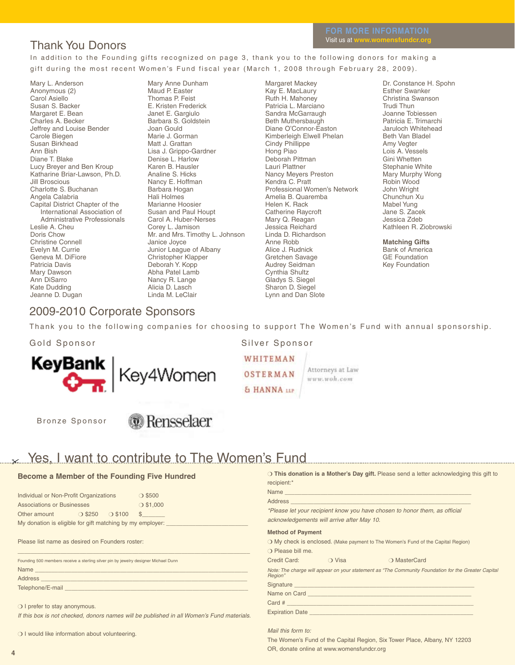### Thank You Donors

In addition to the Founding gifts recognized on page 3, thank you to the following donors for making a gift during the most recent Women's Fund fiscal year (March 1, 2008 through February 28, 2009).

Mary L. Anderson Anonymous (2) Carol Asiello Susan S. Backer Margaret E. Bean Charles A. Becker Jeffrey and Louise Bender Carole Biegen Susan Birkhead Ann Bish Diane T. Blake Lucy Breyer and Ben Kroup Katharine Briar-Lawson, Ph.D. Jill Broscious Charlotte S. Buchanan Angela Calabria Capital District Chapter of the International Association of Administrative Professionals Leslie A. Cheu Doris Chow Christine Connell Evelyn M. Currie Geneva M. DiFiore Patricia Davis Mary Dawson Ann DiSarro Kate Dudding Jeanne D. Dugan

Mary Anne Dunham Maud P. Easter Thomas P. Feist E. Kristen Frederick Janet E. Gargiulo Barbara S. Goldstein Joan Gould Marie J. Gorman Matt J. Grattan Lisa J. Grippo-Gardner Denise L. Harlow Karen B. Hausler Analine S. Hicks Nancy E. Hoffman Barbara Hogan Hali Holmes Marianne Hoosier Susan and Paul Houpt Carol A. Huber-Nerses Corey L. Jamison Mr. and Mrs. Timothy L. Johnson Janice Joyce Junior League of Albany Christopher Klapper Deborah Y. Kopp Abha Patel Lamb Nancy R. Lange Alicia D. Lasch Linda M. LeClair

Margaret Mackey Kay E. MacLaury Ruth H. Mahoney Patricia L. Marciano Sandra McGarraugh Beth Muthersbaugh Diane O'Connor-Easton Kimberleigh Elwell Phelan Cindy Phillippe Hong Piao Deborah Pittman Lauri Plattner Nancy Meyers Preston Kendra C. Pratt Professional Women's Network Amelia B. Quaremba Helen K. Rack Catherine Raycroft Mary Q. Reagan Jessica Reichard Linda D. Richardson Anne Robb Alice J. Rudnick Gretchen Savage Audrey Seidman Cynthia Shultz Gladys S. Siegel Sharon D. Siegel Lynn and Dan Slote

Dr. Constance H. Spohn Esther Swanker Christina Swanson Trudi Thun Joanne Tobiessen Patricia E. Trimarchi Jaruloch Whitehead Beth Van Bladel Amy Vegter Lois A. Vessels Gini Whetten Stephanie White Mary Murphy Wong Robin Wood John Wright Chunchun Xu Mabel Yung Jane S. Zacek Jessica Zdeb Kathleen R. Ziobrowski

**Matching Gifts**

Bank of America GE Foundation Key Foundation

### 2009-2010 Corporate Sponsors

Thank you to the following companies for choosing to support The Women's Fund with annual sponsorship.

Gold Sponsor Silver Sponsor



WHITEMAN **OSTERMAN** & HANNA LLP

Attorneys at Law www.woh.com

Bronze Sponsor

## *G* Rensselaer

#### Yes, I want to contribute to The Women's Fund  $\chi$

### **Become a Member of the Founding Five Hundred**

| Individual or Non-Profit Organizations                    |                  |                  | $\bigcirc$ \$500 |  |  |
|-----------------------------------------------------------|------------------|------------------|------------------|--|--|
| <b>Associations or Businesses</b>                         |                  |                  | $O$ \$1,000      |  |  |
| Other amount                                              | $\bigcirc$ \$250 | $\bigcirc$ \$100 |                  |  |  |
| My donation is eligible for gift matching by my employer: |                  |                  |                  |  |  |

#### Please list name as desired on Founders roster:

| Founding 500 members receive a sterling silver pin by jewelry designer Michael Dunn |  |  |  |  |
|-------------------------------------------------------------------------------------|--|--|--|--|
| <b>Name</b>                                                                         |  |  |  |  |
| <b>Address</b>                                                                      |  |  |  |  |
| Telephone/E-mail                                                                    |  |  |  |  |

 $\_$  , and the set of the set of the set of the set of the set of the set of the set of the set of the set of the set of the set of the set of the set of the set of the set of the set of the set of the set of the set of th

 $\bigcirc$  I prefer to stay anonymous.

*If this box is not checked, donors names will be published in all Women's Fund materials.*

O I would like information about volunteering.

|                          |                                                                                                                 | O This donation is a Mother's Day gift. Please send a letter acknowledging this gift to             |
|--------------------------|-----------------------------------------------------------------------------------------------------------------|-----------------------------------------------------------------------------------------------------|
| recipient:*              |                                                                                                                 |                                                                                                     |
|                          |                                                                                                                 |                                                                                                     |
|                          |                                                                                                                 |                                                                                                     |
|                          |                                                                                                                 | *Please let your recipient know you have chosen to honor them, as official                          |
|                          | acknowledgements will arrive after May 10.                                                                      |                                                                                                     |
| <b>Method of Payment</b> |                                                                                                                 |                                                                                                     |
|                          |                                                                                                                 | O My check is enclosed. (Make payment to The Women's Fund of the Capital Region)                    |
| O Please bill me.        |                                                                                                                 |                                                                                                     |
|                          | Credit Card: Credit Card Credit Card Credit Card Credit Card Credit Credit Credit Credit Credit Credit Credit C | O MasterCard                                                                                        |
| Region"                  |                                                                                                                 | Note: The charge will appear on your statement as "The Community Foundation for the Greater Capital |
|                          |                                                                                                                 |                                                                                                     |
|                          |                                                                                                                 |                                                                                                     |
|                          |                                                                                                                 |                                                                                                     |

*Mail this form to:*

Expiration Date

The Women's Fund of the Capital Region, Six Tower Place, Albany, NY 12203 OR, donate online at www.womensfundcr.org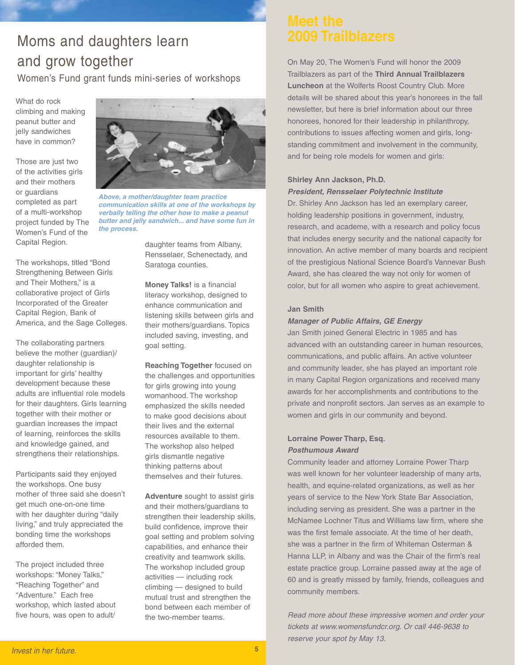# Moms and daughters learn and grow together

Women's Fund grant funds mini-series of workshops

What do rock climbing and making peanut butter and jelly sandwiches have in common?

Those are just two of the activities girls and their mothers or guardians completed as part of a multi-workshop project funded by The Women's Fund of the Capital Region.

The workshops, titled "Bond Strengthening Between Girls and Their Mothers," is a collaborative project of Girls Incorporated of the Greater Capital Region, Bank of America, and the Sage Colleges.

The collaborating partners believe the mother (guardian)/ daughter relationship is important for girls' healthy development because these adults are influential role models for their daughters. Girls learning together with their mother or guardian increases the impact of learning, reinforces the skills and knowledge gained, and strengthens their relationships.

Participants said they enjoyed the workshops. One busy mother of three said she doesn't get much one-on-one time with her daughter during "daily living," and truly appreciated the bonding time the workshops afforded them.

The project included three workshops: "Money Talks," "Reaching Together" and "Adventure." Each free workshop, which lasted about five hours, was open to adult/



*Above, a mother/daughter team practice communication skills at one of the workshops by verbally telling the other how to make a peanut butter and jelly sandwich... and have some fun in the process.*

daughter teams from Albany, Rensselaer, Schenectady, and Saratoga counties.

**Money Talks!** is a financial literacy workshop, designed to enhance communication and listening skills between girls and their mothers/guardians. Topics included saving, investing, and goal setting.

**Reaching Together** focused on the challenges and opportunities for girls growing into young womanhood. The workshop emphasized the skills needed to make good decisions about their lives and the external resources available to them. The workshop also helped girls dismantle negative thinking patterns about themselves and their futures.

**Adventure** sought to assist girls and their mothers/guardians to strengthen their leadership skills, build confidence, improve their goal setting and problem solving capabilities, and enhance their creativity and teamwork skills. The workshop included group activities — including rock climbing — designed to build mutual trust and strengthen the bond between each member of the two-member teams.

On May 20, The Women's Fund will honor the 2009 Trailblazers as part of the **Third Annual Trailblazers Luncheon** at the Wolferts Roost Country Club. More details will be shared about this year's honorees in the fall newsletter, but here is brief information about our three honorees, honored for their leadership in philanthropy, contributions to issues affecting women and girls, longstanding commitment and involvement in the community, and for being role models for women and girls:

### **Shirley Ann Jackson, Ph.D.**

### *President, Rensselaer Polytechnic Institute*

Dr. Shirley Ann Jackson has led an exemplary career, holding leadership positions in government, industry, research, and academe, with a research and policy focus that includes energy security and the national capacity for innovation. An active member of many boards and recipient of the prestigious National Science Board's Vannevar Bush Award, she has cleared the way not only for women of color, but for all women who aspire to great achievement.

### **Jan Smith**

### *Manager of Public Affairs, GE Energy*

Jan Smith joined General Electric in 1985 and has advanced with an outstanding career in human resources, communications, and public affairs. An active volunteer and community leader, she has played an important role in many Capital Region organizations and received many awards for her accomplishments and contributions to the private and nonprofit sectors. Jan serves as an example to women and girls in our community and beyond.

### **Lorraine Power Tharp, Esq.** *Posthumous Award*

Community leader and attorney Lorraine Power Tharp was well known for her volunteer leadership of many arts, health, and equine-related organizations, as well as her years of service to the New York State Bar Association, including serving as president. She was a partner in the McNamee Lochner Titus and Williams law firm, where she was the first female associate. At the time of her death, she was a partner in the firm of Whiteman Osterman & Hanna LLP, in Albany and was the Chair of the firm's real estate practice group. Lorraine passed away at the age of 60 and is greatly missed by family, friends, colleagues and community members.

*Read more about these impressive women and order your tickets at www.womensfundcr.org. Or call 446-9638 to reserve your spot by May 13.*